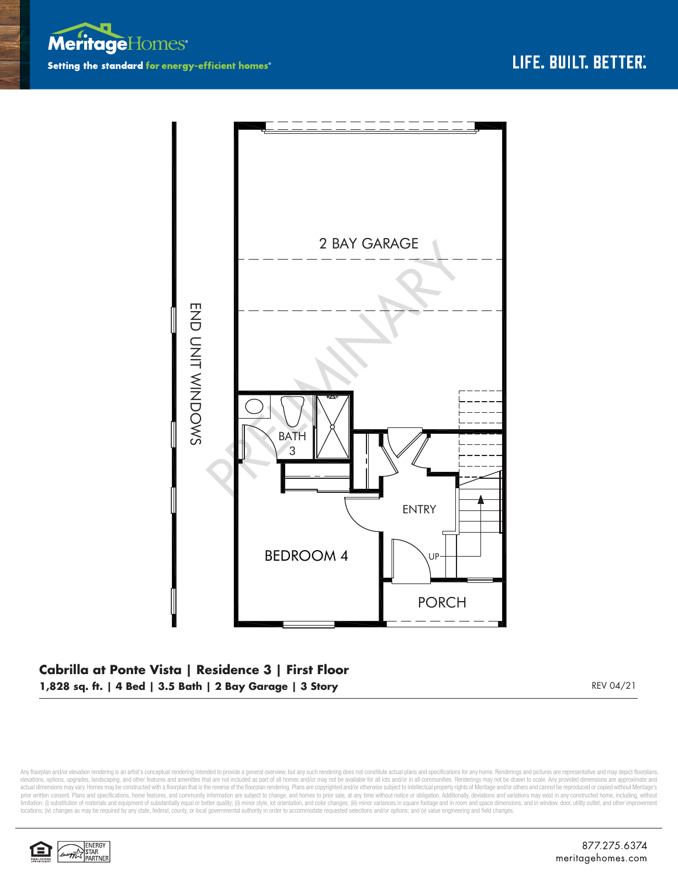



## **Cabrilla at Ponte Vista | Residence 3 | First Floor 1,828 sq. ft. | 4 Bed | 3.5 Bath | 2 Bay Garage | 3 Story** REV 04/21

Any floorplan and/or elevation rendering is an artist's conceptual rendering intended to provide a general overview, but any such rendering does not constitute actual plans and specifications for any home. Renderings and p elevations, options, upgrades, landscaping, and other features and amenities that are not included as part of all homes and/or may not be available for all lots and/or in all communities. Renderings may not be drawn to sca limitation: (i) substitution of materials and equipment of substantially equal or better quality; (ii) minor style, lot orientation, and color changes; (iii) minor variances in square footage and in room and space dimensio locations; (iv) changes as may be required by any state, federal, county, or local governmental authority in order to accommodate requested selections and/or options; and (v) value engineering and field changes.

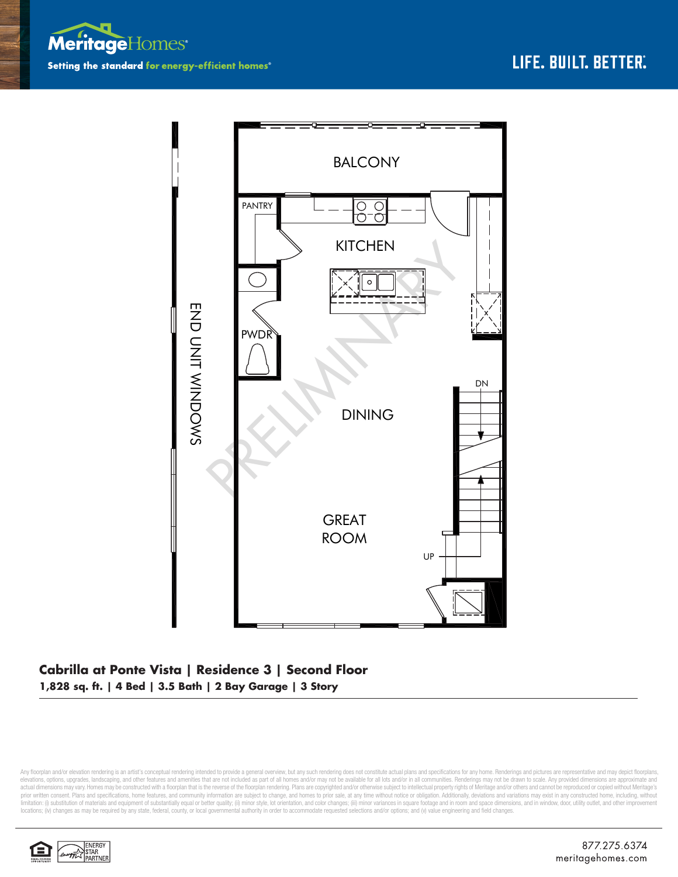



## **Cabrilla at Ponte Vista | Residence 3 | Second Floor 1,828 sq. ft. | 4 Bed | 3.5 Bath | 2 Bay Garage | 3 Story**

Any floorplan and/or elevation rendering is an artist's conceptual rendering intended to provide a general overview, but any such rendering does not constitute actual plans and specifications for any home. Renderings and p elevations, options, upgrades, landscaping, and other features and amenities that are not included as part of all homes and/or may not be available for all lots and/or in all communities. Renderings may not be drawn to sca limitation: (i) substitution of materials and equipment of substantially equal or better quality; (ii) minor style, lot orientation, and color changes; (iii) minor variances in square footage and in room and space dimensio locations; (iv) changes as may be required by any state, federal, county, or local governmental authority in order to accommodate requested selections and/or options; and (v) value engineering and field changes.